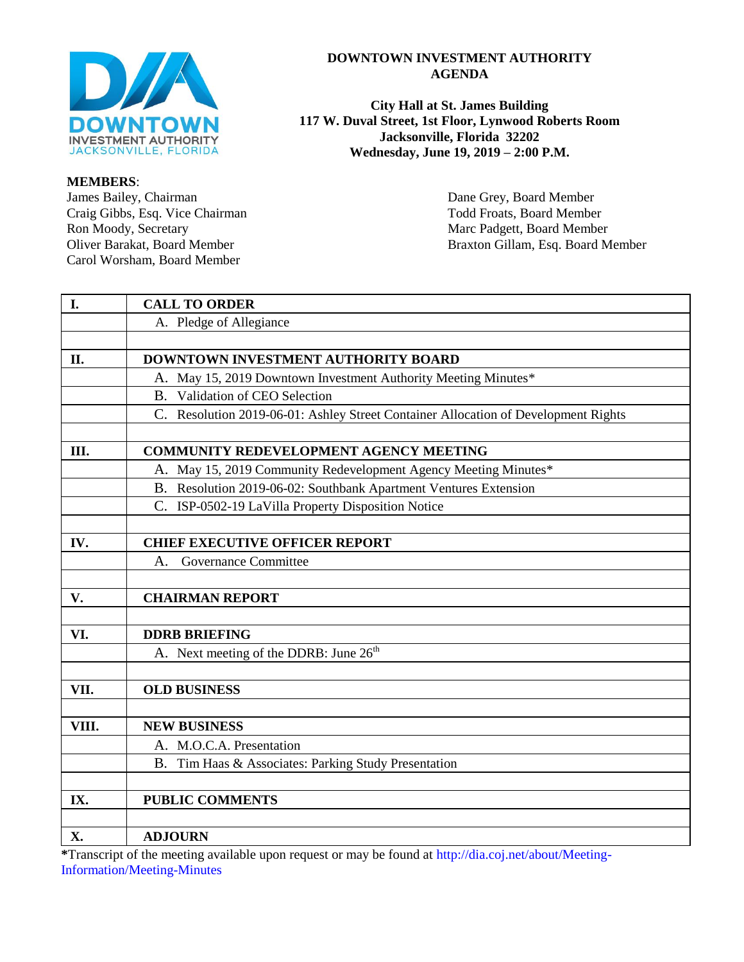

#### **MEMBERS**:

James Bailey, Chairman Dane Grey, Board Member Craig Gibbs, Esq. Vice Chairman Todd Froats, Board Member Ron Moody, Secretary Marc Padgett, Board Member<br>
Oliver Barakat, Board Member<br>
Ron Marc Padgett, Board Member<br>
Ron Marc Padgett, Board Member<br>
Ron Marc Padgett, Board Member Carol Worsham, Board Member

#### **DOWNTOWN INVESTMENT AUTHORITY AGENDA**

**City Hall at St. James Building 117 W. Duval Street, 1st Floor, Lynwood Roberts Room Jacksonville, Florida 32202 Wednesday, June 19, 2019 – 2:00 P.M.**

Braxton Gillam, Esq. Board Member

| I.    | <b>CALL TO ORDER</b>                                                               |  |  |  |
|-------|------------------------------------------------------------------------------------|--|--|--|
|       | A. Pledge of Allegiance                                                            |  |  |  |
|       |                                                                                    |  |  |  |
| II.   | DOWNTOWN INVESTMENT AUTHORITY BOARD                                                |  |  |  |
|       | A. May 15, 2019 Downtown Investment Authority Meeting Minutes*                     |  |  |  |
|       | B. Validation of CEO Selection                                                     |  |  |  |
|       | C. Resolution 2019-06-01: Ashley Street Container Allocation of Development Rights |  |  |  |
|       |                                                                                    |  |  |  |
| Ш.    | <b>COMMUNITY REDEVELOPMENT AGENCY MEETING</b>                                      |  |  |  |
|       | A. May 15, 2019 Community Redevelopment Agency Meeting Minutes*                    |  |  |  |
|       | B. Resolution 2019-06-02: Southbank Apartment Ventures Extension                   |  |  |  |
|       | C. ISP-0502-19 LaVilla Property Disposition Notice                                 |  |  |  |
|       |                                                                                    |  |  |  |
| IV.   | <b>CHIEF EXECUTIVE OFFICER REPORT</b>                                              |  |  |  |
|       | Governance Committee<br>A.                                                         |  |  |  |
|       |                                                                                    |  |  |  |
| V.    | <b>CHAIRMAN REPORT</b>                                                             |  |  |  |
|       |                                                                                    |  |  |  |
| VI.   | <b>DDRB BRIEFING</b>                                                               |  |  |  |
|       | A. Next meeting of the DDRB: June 26 <sup>th</sup>                                 |  |  |  |
|       |                                                                                    |  |  |  |
| VII.  | <b>OLD BUSINESS</b>                                                                |  |  |  |
|       |                                                                                    |  |  |  |
| VIII. | <b>NEW BUSINESS</b>                                                                |  |  |  |
|       | A. M.O.C.A. Presentation                                                           |  |  |  |
|       | B. Tim Haas & Associates: Parking Study Presentation                               |  |  |  |
|       |                                                                                    |  |  |  |
| IX.   | <b>PUBLIC COMMENTS</b>                                                             |  |  |  |
|       |                                                                                    |  |  |  |
| X.    | <b>ADJOURN</b>                                                                     |  |  |  |

**\***Transcript of the meeting available upon request or may be found at [http://dia.coj.net/about/Meeting-](http://dia.coj.net/about/Meeting-Information/Meeting-Minutes)[Information/Meeting-Minutes](http://dia.coj.net/about/Meeting-Information/Meeting-Minutes)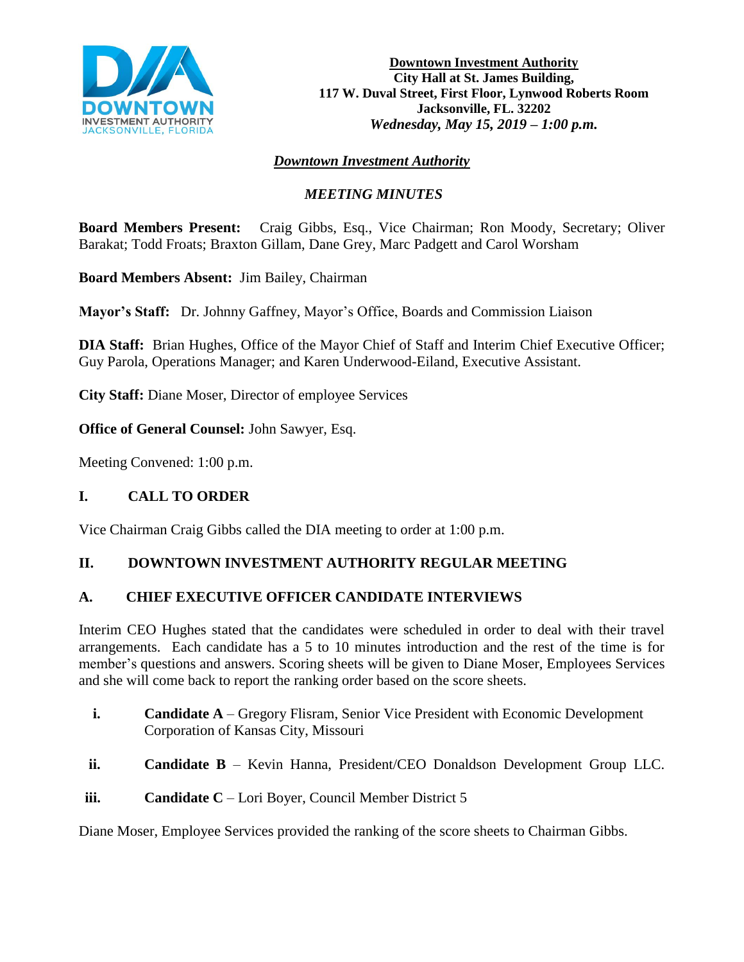

# *Downtown Investment Authority*

## *MEETING MINUTES*

**Board Members Present:** Craig Gibbs, Esq., Vice Chairman; Ron Moody, Secretary; Oliver Barakat; Todd Froats; Braxton Gillam, Dane Grey, Marc Padgett and Carol Worsham

**Board Members Absent:** Jim Bailey, Chairman

**Mayor's Staff:** Dr. Johnny Gaffney, Mayor's Office, Boards and Commission Liaison

**DIA Staff:** Brian Hughes, Office of the Mayor Chief of Staff and Interim Chief Executive Officer; Guy Parola, Operations Manager; and Karen Underwood-Eiland, Executive Assistant.

**City Staff:** Diane Moser, Director of employee Services

**Office of General Counsel:** John Sawyer, Esq.

Meeting Convened: 1:00 p.m.

### **I. CALL TO ORDER**

Vice Chairman Craig Gibbs called the DIA meeting to order at 1:00 p.m.

### **II. DOWNTOWN INVESTMENT AUTHORITY REGULAR MEETING**

### **A. CHIEF EXECUTIVE OFFICER CANDIDATE INTERVIEWS**

Interim CEO Hughes stated that the candidates were scheduled in order to deal with their travel arrangements. Each candidate has a 5 to 10 minutes introduction and the rest of the time is for member's questions and answers. Scoring sheets will be given to Diane Moser, Employees Services and she will come back to report the ranking order based on the score sheets.

- **i. Candidate A** Gregory Flisram, Senior Vice President with Economic Development Corporation of Kansas City, Missouri
- **ii. Candidate B** Kevin Hanna, President/CEO Donaldson Development Group LLC.
- **iii. Candidate C** Lori Boyer, Council Member District 5

Diane Moser, Employee Services provided the ranking of the score sheets to Chairman Gibbs.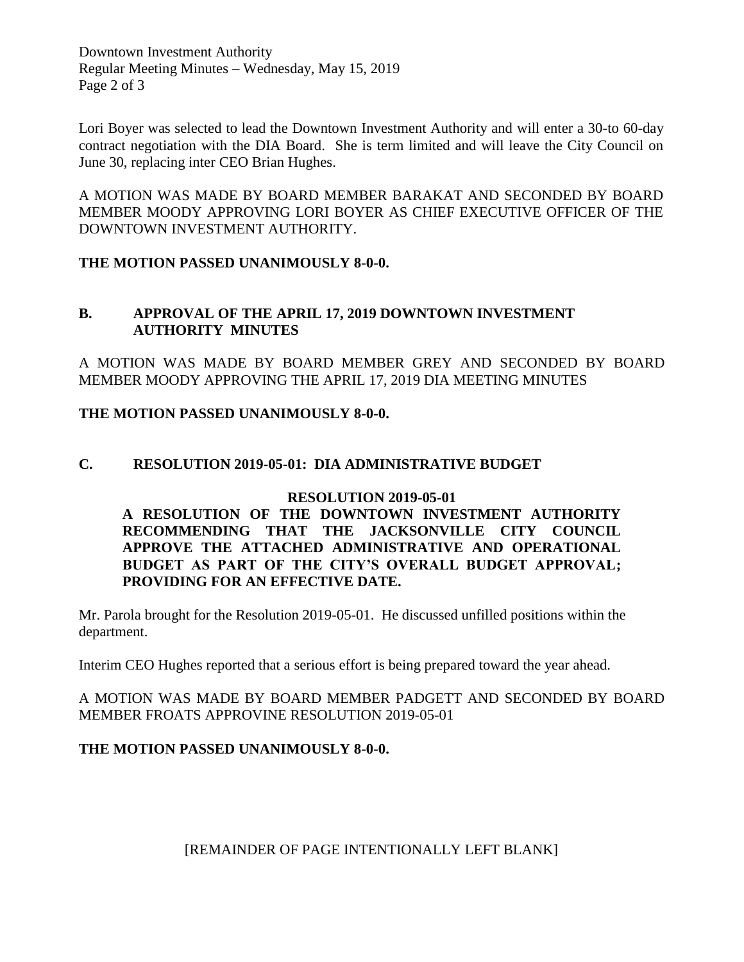Downtown Investment Authority Regular Meeting Minutes – Wednesday, May 15, 2019 Page 2 of 3

Lori Boyer was selected to lead the Downtown Investment Authority and will enter a 30-to 60-day contract negotiation with the DIA Board. She is term limited and will leave the City Council on June 30, replacing inter CEO Brian Hughes.

A MOTION WAS MADE BY BOARD MEMBER BARAKAT AND SECONDED BY BOARD MEMBER MOODY APPROVING LORI BOYER AS CHIEF EXECUTIVE OFFICER OF THE DOWNTOWN INVESTMENT AUTHORITY.

**THE MOTION PASSED UNANIMOUSLY 8-0-0.**

### **B. APPROVAL OF THE APRIL 17, 2019 DOWNTOWN INVESTMENT AUTHORITY MINUTES**

A MOTION WAS MADE BY BOARD MEMBER GREY AND SECONDED BY BOARD MEMBER MOODY APPROVING THE APRIL 17, 2019 DIA MEETING MINUTES

**THE MOTION PASSED UNANIMOUSLY 8-0-0.** 

## **C. RESOLUTION 2019-05-01: DIA ADMINISTRATIVE BUDGET**

#### **RESOLUTION 2019-05-01**

**A RESOLUTION OF THE DOWNTOWN INVESTMENT AUTHORITY RECOMMENDING THAT THE JACKSONVILLE CITY COUNCIL APPROVE THE ATTACHED ADMINISTRATIVE AND OPERATIONAL BUDGET AS PART OF THE CITY'S OVERALL BUDGET APPROVAL; PROVIDING FOR AN EFFECTIVE DATE.**

Mr. Parola brought for the Resolution 2019-05-01. He discussed unfilled positions within the department.

Interim CEO Hughes reported that a serious effort is being prepared toward the year ahead.

A MOTION WAS MADE BY BOARD MEMBER PADGETT AND SECONDED BY BOARD MEMBER FROATS APPROVINE RESOLUTION 2019-05-01

### **THE MOTION PASSED UNANIMOUSLY 8-0-0.**

[REMAINDER OF PAGE INTENTIONALLY LEFT BLANK]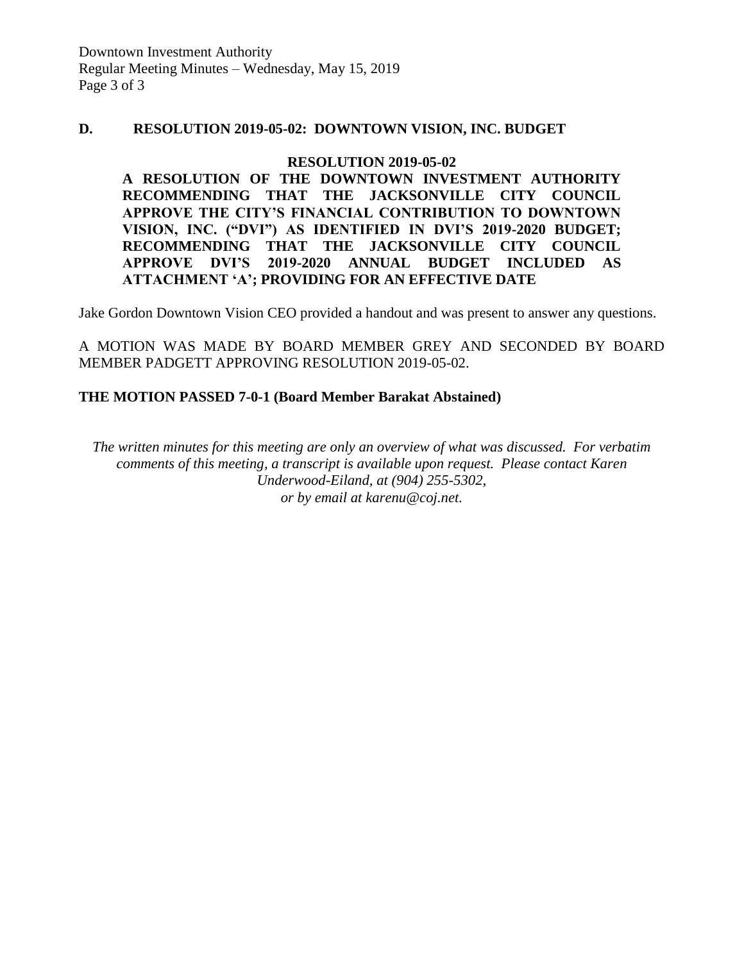#### **D. RESOLUTION 2019-05-02: DOWNTOWN VISION, INC. BUDGET**

#### **RESOLUTION 2019-05-02**

**A RESOLUTION OF THE DOWNTOWN INVESTMENT AUTHORITY RECOMMENDING THAT THE JACKSONVILLE CITY COUNCIL APPROVE THE CITY'S FINANCIAL CONTRIBUTION TO DOWNTOWN VISION, INC. ("DVI") AS IDENTIFIED IN DVI'S 2019-2020 BUDGET; RECOMMENDING THAT THE JACKSONVILLE CITY COUNCIL APPROVE DVI'S 2019-2020 ANNUAL BUDGET INCLUDED AS ATTACHMENT 'A'; PROVIDING FOR AN EFFECTIVE DATE**

Jake Gordon Downtown Vision CEO provided a handout and was present to answer any questions.

A MOTION WAS MADE BY BOARD MEMBER GREY AND SECONDED BY BOARD MEMBER PADGETT APPROVING RESOLUTION 2019-05-02.

#### **THE MOTION PASSED 7-0-1 (Board Member Barakat Abstained)**

*The written minutes for this meeting are only an overview of what was discussed. For verbatim comments of this meeting, a transcript is available upon request. Please contact Karen Underwood-Eiland, at (904) 255-5302, or by email at karenu@coj.net.*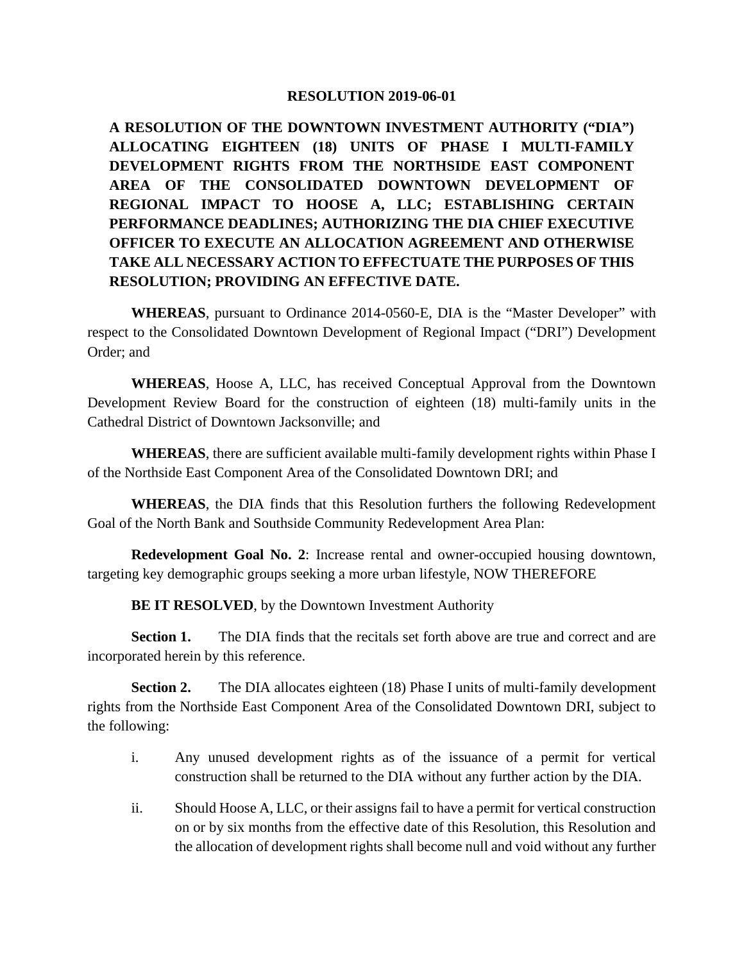#### **RESOLUTION 2019-06-01**

**A RESOLUTION OF THE DOWNTOWN INVESTMENT AUTHORITY ("DIA") ALLOCATING EIGHTEEN (18) UNITS OF PHASE I MULTI-FAMILY DEVELOPMENT RIGHTS FROM THE NORTHSIDE EAST COMPONENT AREA OF THE CONSOLIDATED DOWNTOWN DEVELOPMENT OF REGIONAL IMPACT TO HOOSE A, LLC; ESTABLISHING CERTAIN PERFORMANCE DEADLINES; AUTHORIZING THE DIA CHIEF EXECUTIVE OFFICER TO EXECUTE AN ALLOCATION AGREEMENT AND OTHERWISE TAKE ALL NECESSARY ACTION TO EFFECTUATE THE PURPOSES OF THIS RESOLUTION; PROVIDING AN EFFECTIVE DATE.**

**WHEREAS**, pursuant to Ordinance 2014-0560-E, DIA is the "Master Developer" with respect to the Consolidated Downtown Development of Regional Impact ("DRI") Development Order; and

**WHEREAS**, Hoose A, LLC, has received Conceptual Approval from the Downtown Development Review Board for the construction of eighteen (18) multi-family units in the Cathedral District of Downtown Jacksonville; and

**WHEREAS**, there are sufficient available multi-family development rights within Phase I of the Northside East Component Area of the Consolidated Downtown DRI; and

**WHEREAS**, the DIA finds that this Resolution furthers the following Redevelopment Goal of the North Bank and Southside Community Redevelopment Area Plan:

**Redevelopment Goal No. 2**: Increase rental and owner-occupied housing downtown, targeting key demographic groups seeking a more urban lifestyle, NOW THEREFORE

**BE IT RESOLVED**, by the Downtown Investment Authority

**Section 1.** The DIA finds that the recitals set forth above are true and correct and are incorporated herein by this reference.

**Section 2.** The DIA allocates eighteen (18) Phase I units of multi-family development rights from the Northside East Component Area of the Consolidated Downtown DRI, subject to the following:

- i. Any unused development rights as of the issuance of a permit for vertical construction shall be returned to the DIA without any further action by the DIA.
- ii. Should Hoose A, LLC, or their assigns fail to have a permit for vertical construction on or by six months from the effective date of this Resolution, this Resolution and the allocation of development rights shall become null and void without any further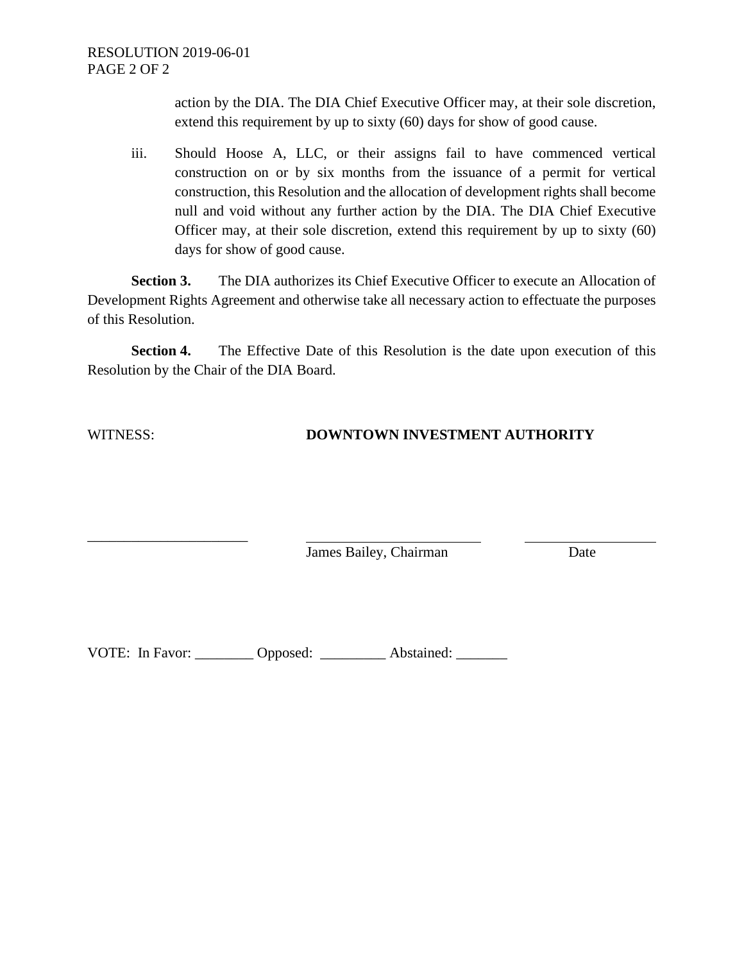action by the DIA. The DIA Chief Executive Officer may, at their sole discretion, extend this requirement by up to sixty (60) days for show of good cause.

iii. Should Hoose A, LLC, or their assigns fail to have commenced vertical construction on or by six months from the issuance of a permit for vertical construction, this Resolution and the allocation of development rights shall become null and void without any further action by the DIA. The DIA Chief Executive Officer may, at their sole discretion, extend this requirement by up to sixty (60) days for show of good cause.

**Section 3.** The DIA authorizes its Chief Executive Officer to execute an Allocation of Development Rights Agreement and otherwise take all necessary action to effectuate the purposes of this Resolution.

**Section 4.** The Effective Date of this Resolution is the date upon execution of this Resolution by the Chair of the DIA Board.

\_\_\_\_\_\_\_\_\_\_\_\_\_\_\_\_\_\_\_\_\_\_

### WITNESS: **DOWNTOWN INVESTMENT AUTHORITY**

James Bailey, Chairman Date

VOTE: In Favor: \_\_\_\_\_\_\_\_ Opposed: \_\_\_\_\_\_\_\_ Abstained: \_\_\_\_\_\_\_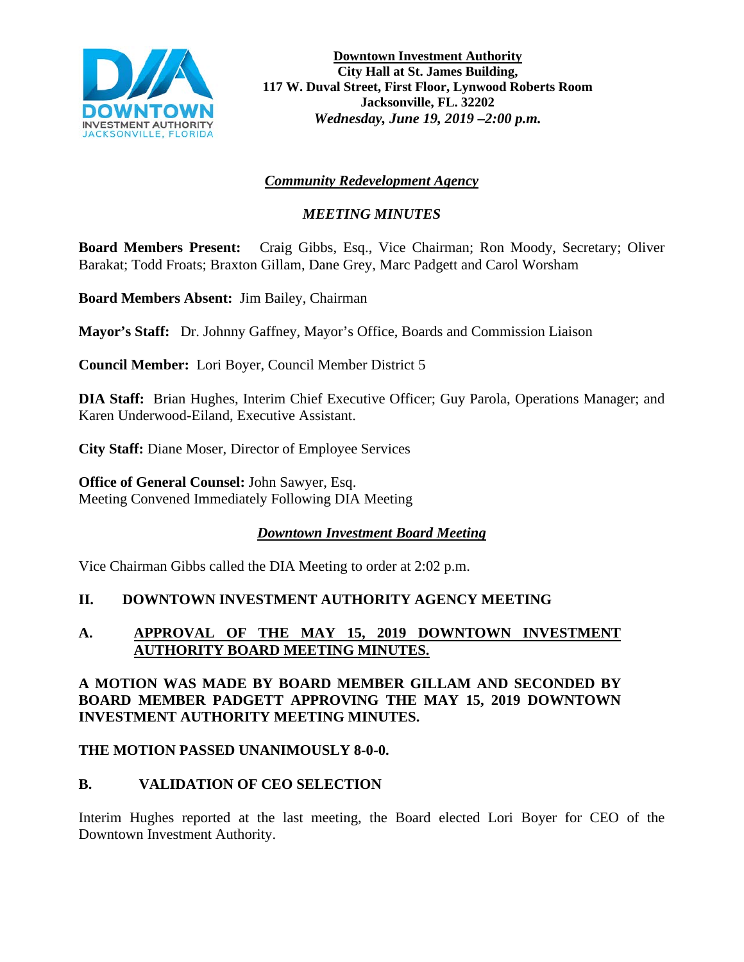

**Downtown Investment Authority City Hall at St. James Building, 117 W. Duval Street, First Floor, Lynwood Roberts Room Jacksonville, FL. 32202** *Wednesday, June 19, 2019 –2:00 p.m.* 

# *Community Redevelopment Agency*

# *MEETING MINUTES*

**Board Members Present:** Craig Gibbs, Esq., Vice Chairman; Ron Moody, Secretary; Oliver Barakat; Todd Froats; Braxton Gillam, Dane Grey, Marc Padgett and Carol Worsham

**Board Members Absent:** Jim Bailey, Chairman

**Mayor's Staff:** Dr. Johnny Gaffney, Mayor's Office, Boards and Commission Liaison

**Council Member:** Lori Boyer, Council Member District 5

**DIA Staff:** Brian Hughes, Interim Chief Executive Officer; Guy Parola, Operations Manager; and Karen Underwood-Eiland, Executive Assistant.

**City Staff:** Diane Moser, Director of Employee Services

**Office of General Counsel:** John Sawyer, Esq. Meeting Convened Immediately Following DIA Meeting

### *Downtown Investment Board Meeting*

Vice Chairman Gibbs called the DIA Meeting to order at 2:02 p.m.

### **II. DOWNTOWN INVESTMENT AUTHORITY AGENCY MEETING**

### **A. APPROVAL OF THE MAY 15, 2019 DOWNTOWN INVESTMENT AUTHORITY BOARD MEETING MINUTES.**

### **A MOTION WAS MADE BY BOARD MEMBER GILLAM AND SECONDED BY BOARD MEMBER PADGETT APPROVING THE MAY 15, 2019 DOWNTOWN INVESTMENT AUTHORITY MEETING MINUTES.**

#### **THE MOTION PASSED UNANIMOUSLY 8-0-0.**

### **B. VALIDATION OF CEO SELECTION**

Interim Hughes reported at the last meeting, the Board elected Lori Boyer for CEO of the Downtown Investment Authority.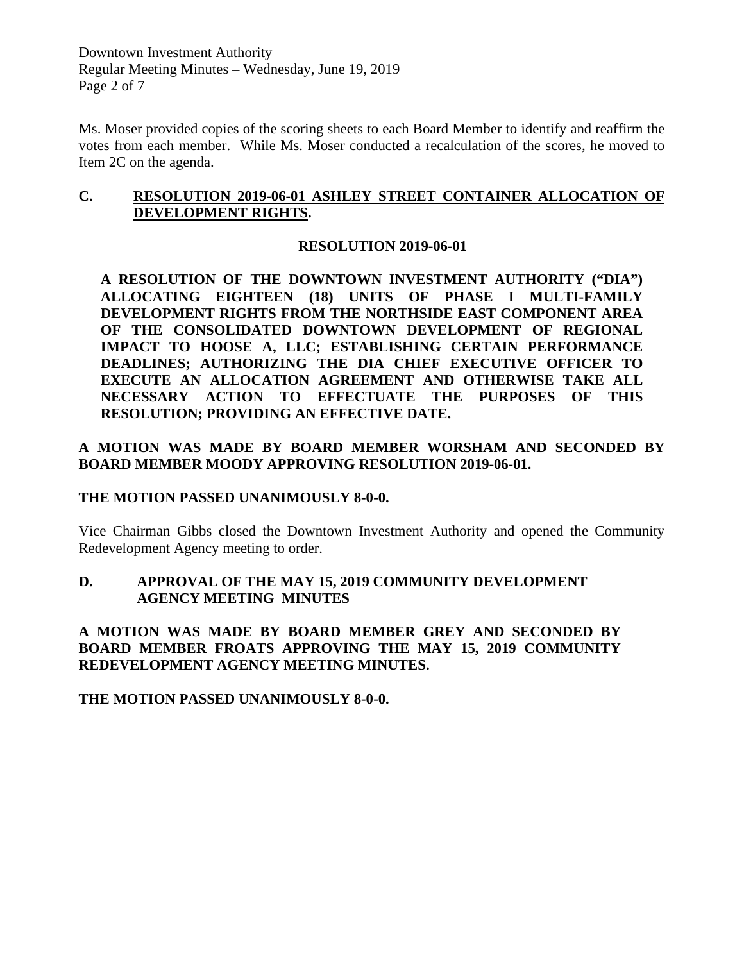Downtown Investment Authority Regular Meeting Minutes – Wednesday, June 19, 2019 Page 2 of 7

Ms. Moser provided copies of the scoring sheets to each Board Member to identify and reaffirm the votes from each member. While Ms. Moser conducted a recalculation of the scores, he moved to Item 2C on the agenda.

### **C. RESOLUTION 2019-06-01 ASHLEY STREET CONTAINER ALLOCATION OF DEVELOPMENT RIGHTS.**

### **RESOLUTION 2019-06-01**

**A RESOLUTION OF THE DOWNTOWN INVESTMENT AUTHORITY ("DIA") ALLOCATING EIGHTEEN (18) UNITS OF PHASE I MULTI-FAMILY DEVELOPMENT RIGHTS FROM THE NORTHSIDE EAST COMPONENT AREA OF THE CONSOLIDATED DOWNTOWN DEVELOPMENT OF REGIONAL IMPACT TO HOOSE A, LLC; ESTABLISHING CERTAIN PERFORMANCE DEADLINES; AUTHORIZING THE DIA CHIEF EXECUTIVE OFFICER TO EXECUTE AN ALLOCATION AGREEMENT AND OTHERWISE TAKE ALL NECESSARY ACTION TO EFFECTUATE THE PURPOSES OF THIS RESOLUTION; PROVIDING AN EFFECTIVE DATE.** 

### **A MOTION WAS MADE BY BOARD MEMBER WORSHAM AND SECONDED BY BOARD MEMBER MOODY APPROVING RESOLUTION 2019-06-01.**

#### **THE MOTION PASSED UNANIMOUSLY 8-0-0.**

Vice Chairman Gibbs closed the Downtown Investment Authority and opened the Community Redevelopment Agency meeting to order.

### **D. APPROVAL OF THE MAY 15, 2019 COMMUNITY DEVELOPMENT AGENCY MEETING MINUTES**

**A MOTION WAS MADE BY BOARD MEMBER GREY AND SECONDED BY BOARD MEMBER FROATS APPROVING THE MAY 15, 2019 COMMUNITY REDEVELOPMENT AGENCY MEETING MINUTES.** 

**THE MOTION PASSED UNANIMOUSLY 8-0-0.**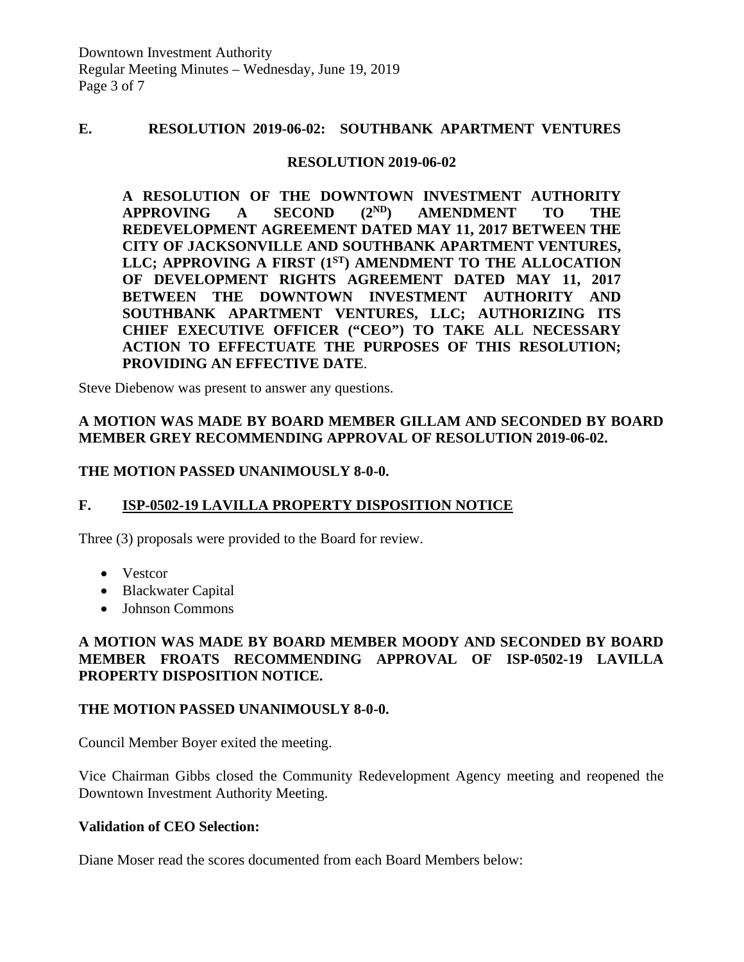### **E. RESOLUTION 2019-06-02: SOUTHBANK APARTMENT VENTURES**

#### **RESOLUTION 2019-06-02**

**A RESOLUTION OF THE DOWNTOWN INVESTMENT AUTHORITY APPROVING A SECOND (2ND) AMENDMENT TO THE REDEVELOPMENT AGREEMENT DATED MAY 11, 2017 BETWEEN THE CITY OF JACKSONVILLE AND SOUTHBANK APARTMENT VENTURES,**  LLC; APPROVING A FIRST (1<sup>ST)</sup> AMENDMENT TO THE ALLOCATION **OF DEVELOPMENT RIGHTS AGREEMENT DATED MAY 11, 2017 BETWEEN THE DOWNTOWN INVESTMENT AUTHORITY AND SOUTHBANK APARTMENT VENTURES, LLC; AUTHORIZING ITS CHIEF EXECUTIVE OFFICER ("CEO") TO TAKE ALL NECESSARY ACTION TO EFFECTUATE THE PURPOSES OF THIS RESOLUTION; PROVIDING AN EFFECTIVE DATE**.

Steve Diebenow was present to answer any questions.

### **A MOTION WAS MADE BY BOARD MEMBER GILLAM AND SECONDED BY BOARD MEMBER GREY RECOMMENDING APPROVAL OF RESOLUTION 2019-06-02.**

#### **THE MOTION PASSED UNANIMOUSLY 8-0-0.**

#### **F. ISP-0502-19 LAVILLA PROPERTY DISPOSITION NOTICE**

Three (3) proposals were provided to the Board for review.

- Vestcor
- Blackwater Capital
- Johnson Commons

### **A MOTION WAS MADE BY BOARD MEMBER MOODY AND SECONDED BY BOARD MEMBER FROATS RECOMMENDING APPROVAL OF ISP-0502-19 LAVILLA PROPERTY DISPOSITION NOTICE.**

#### **THE MOTION PASSED UNANIMOUSLY 8-0-0.**

Council Member Boyer exited the meeting.

Vice Chairman Gibbs closed the Community Redevelopment Agency meeting and reopened the Downtown Investment Authority Meeting.

#### **Validation of CEO Selection:**

Diane Moser read the scores documented from each Board Members below: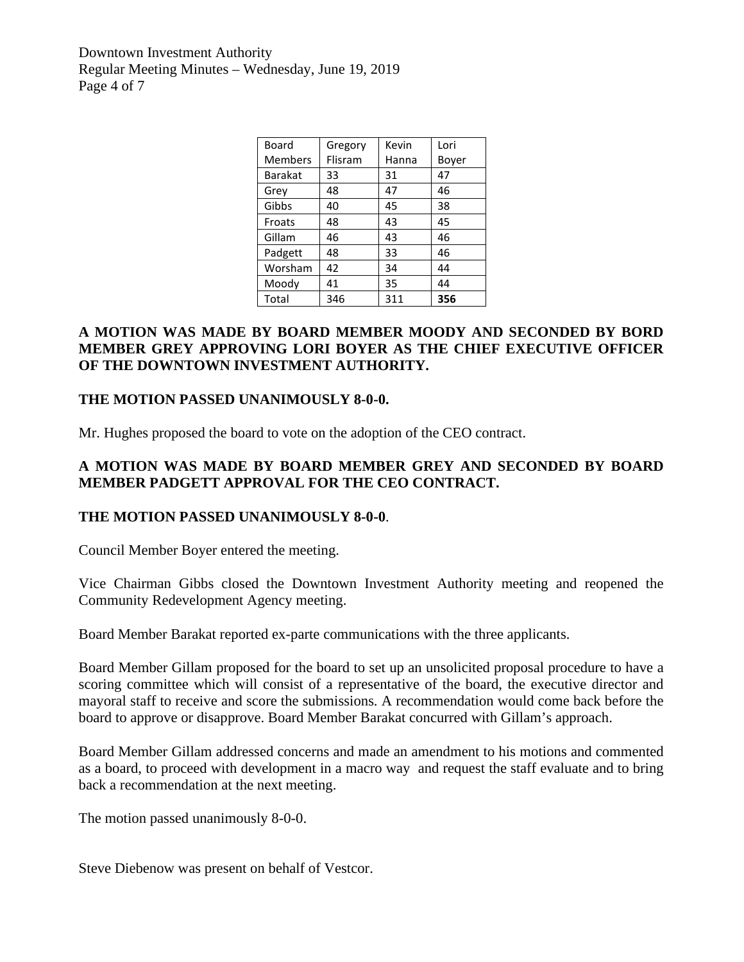Downtown Investment Authority Regular Meeting Minutes – Wednesday, June 19, 2019 Page 4 of 7

| Board          | Gregory | Kevin | Lori  |  |
|----------------|---------|-------|-------|--|
| <b>Members</b> | Flisram | Hanna | Boyer |  |
| <b>Barakat</b> | 33      | 31    | 47    |  |
| Grey           | 48      | 47    | 46    |  |
| Gibbs          | 40      | 45    | 38    |  |
| Froats         | 48      | 43    | 45    |  |
| Gillam         | 46      | 43    | 46    |  |
| Padgett        | 48      | 33    | 46    |  |
| Worsham        | 42      | 34    | 44    |  |
| Moody          | 41      | 35    | 44    |  |
| Total          | 346     | 311   | 356   |  |

### **A MOTION WAS MADE BY BOARD MEMBER MOODY AND SECONDED BY BORD MEMBER GREY APPROVING LORI BOYER AS THE CHIEF EXECUTIVE OFFICER OF THE DOWNTOWN INVESTMENT AUTHORITY.**

#### **THE MOTION PASSED UNANIMOUSLY 8-0-0.**

Mr. Hughes proposed the board to vote on the adoption of the CEO contract.

### **A MOTION WAS MADE BY BOARD MEMBER GREY AND SECONDED BY BOARD MEMBER PADGETT APPROVAL FOR THE CEO CONTRACT.**

#### **THE MOTION PASSED UNANIMOUSLY 8-0-0**.

Council Member Boyer entered the meeting.

Vice Chairman Gibbs closed the Downtown Investment Authority meeting and reopened the Community Redevelopment Agency meeting.

Board Member Barakat reported ex-parte communications with the three applicants.

Board Member Gillam proposed for the board to set up an unsolicited proposal procedure to have a scoring committee which will consist of a representative of the board, the executive director and mayoral staff to receive and score the submissions. A recommendation would come back before the board to approve or disapprove. Board Member Barakat concurred with Gillam's approach.

Board Member Gillam addressed concerns and made an amendment to his motions and commented as a board, to proceed with development in a macro way and request the staff evaluate and to bring back a recommendation at the next meeting.

The motion passed unanimously 8-0-0.

Steve Diebenow was present on behalf of Vestcor.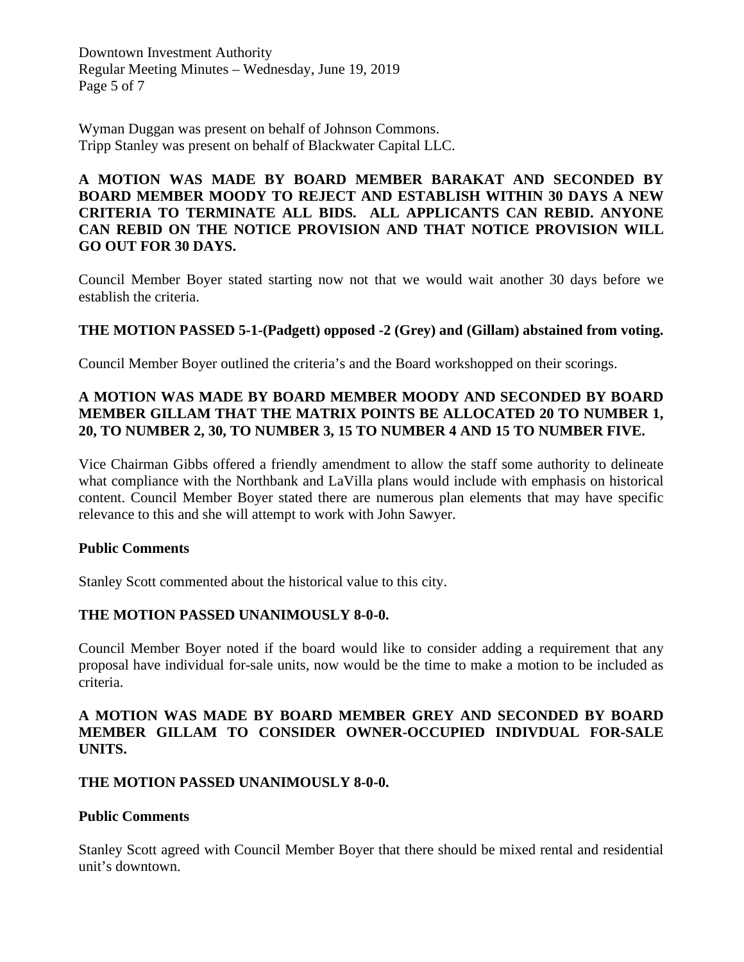Downtown Investment Authority Regular Meeting Minutes – Wednesday, June 19, 2019 Page 5 of 7

Wyman Duggan was present on behalf of Johnson Commons. Tripp Stanley was present on behalf of Blackwater Capital LLC.

### **A MOTION WAS MADE BY BOARD MEMBER BARAKAT AND SECONDED BY BOARD MEMBER MOODY TO REJECT AND ESTABLISH WITHIN 30 DAYS A NEW CRITERIA TO TERMINATE ALL BIDS. ALL APPLICANTS CAN REBID. ANYONE CAN REBID ON THE NOTICE PROVISION AND THAT NOTICE PROVISION WILL GO OUT FOR 30 DAYS.**

Council Member Boyer stated starting now not that we would wait another 30 days before we establish the criteria.

### **THE MOTION PASSED 5-1-(Padgett) opposed -2 (Grey) and (Gillam) abstained from voting.**

Council Member Boyer outlined the criteria's and the Board workshopped on their scorings.

### **A MOTION WAS MADE BY BOARD MEMBER MOODY AND SECONDED BY BOARD MEMBER GILLAM THAT THE MATRIX POINTS BE ALLOCATED 20 TO NUMBER 1, 20, TO NUMBER 2, 30, TO NUMBER 3, 15 TO NUMBER 4 AND 15 TO NUMBER FIVE.**

Vice Chairman Gibbs offered a friendly amendment to allow the staff some authority to delineate what compliance with the Northbank and LaVilla plans would include with emphasis on historical content. Council Member Boyer stated there are numerous plan elements that may have specific relevance to this and she will attempt to work with John Sawyer.

### **Public Comments**

Stanley Scott commented about the historical value to this city.

### **THE MOTION PASSED UNANIMOUSLY 8-0-0.**

Council Member Boyer noted if the board would like to consider adding a requirement that any proposal have individual for-sale units, now would be the time to make a motion to be included as criteria.

### **A MOTION WAS MADE BY BOARD MEMBER GREY AND SECONDED BY BOARD MEMBER GILLAM TO CONSIDER OWNER-OCCUPIED INDIVDUAL FOR-SALE UNITS.**

### **THE MOTION PASSED UNANIMOUSLY 8-0-0.**

#### **Public Comments**

Stanley Scott agreed with Council Member Boyer that there should be mixed rental and residential unit's downtown.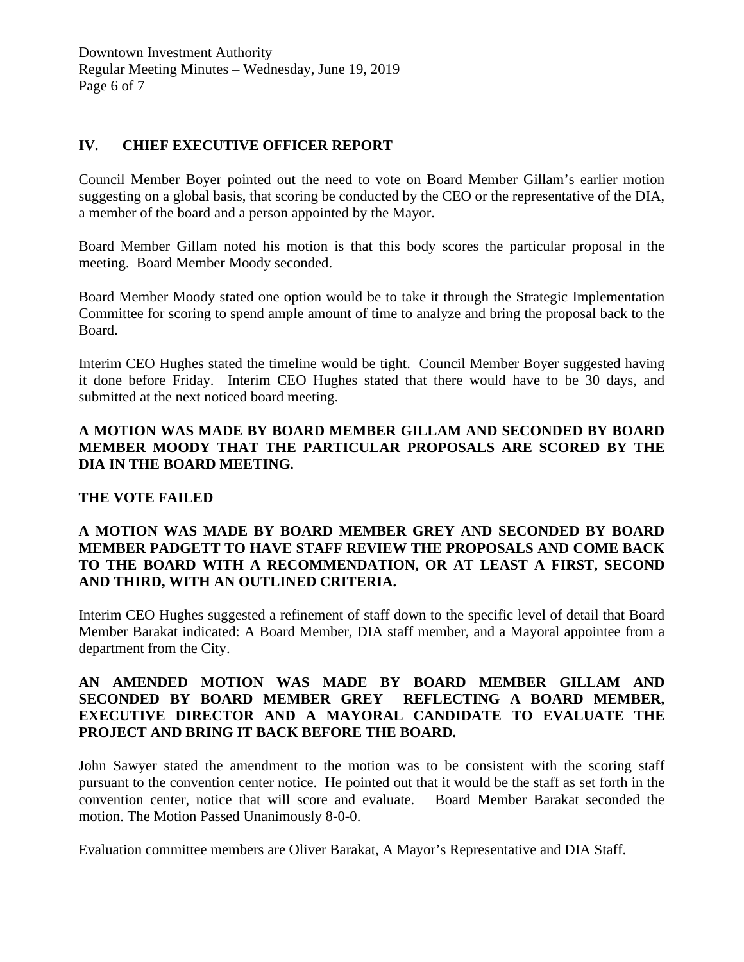### **IV. CHIEF EXECUTIVE OFFICER REPORT**

Council Member Boyer pointed out the need to vote on Board Member Gillam's earlier motion suggesting on a global basis, that scoring be conducted by the CEO or the representative of the DIA, a member of the board and a person appointed by the Mayor.

Board Member Gillam noted his motion is that this body scores the particular proposal in the meeting. Board Member Moody seconded.

Board Member Moody stated one option would be to take it through the Strategic Implementation Committee for scoring to spend ample amount of time to analyze and bring the proposal back to the Board.

Interim CEO Hughes stated the timeline would be tight. Council Member Boyer suggested having it done before Friday. Interim CEO Hughes stated that there would have to be 30 days, and submitted at the next noticed board meeting.

### **A MOTION WAS MADE BY BOARD MEMBER GILLAM AND SECONDED BY BOARD MEMBER MOODY THAT THE PARTICULAR PROPOSALS ARE SCORED BY THE DIA IN THE BOARD MEETING.**

### **THE VOTE FAILED**

### **A MOTION WAS MADE BY BOARD MEMBER GREY AND SECONDED BY BOARD MEMBER PADGETT TO HAVE STAFF REVIEW THE PROPOSALS AND COME BACK TO THE BOARD WITH A RECOMMENDATION, OR AT LEAST A FIRST, SECOND AND THIRD, WITH AN OUTLINED CRITERIA.**

Interim CEO Hughes suggested a refinement of staff down to the specific level of detail that Board Member Barakat indicated: A Board Member, DIA staff member, and a Mayoral appointee from a department from the City.

### **AN AMENDED MOTION WAS MADE BY BOARD MEMBER GILLAM AND SECONDED BY BOARD MEMBER GREY REFLECTING A BOARD MEMBER, EXECUTIVE DIRECTOR AND A MAYORAL CANDIDATE TO EVALUATE THE PROJECT AND BRING IT BACK BEFORE THE BOARD.**

John Sawyer stated the amendment to the motion was to be consistent with the scoring staff pursuant to the convention center notice. He pointed out that it would be the staff as set forth in the convention center, notice that will score and evaluate. Board Member Barakat seconded the motion. The Motion Passed Unanimously 8-0-0.

Evaluation committee members are Oliver Barakat, A Mayor's Representative and DIA Staff.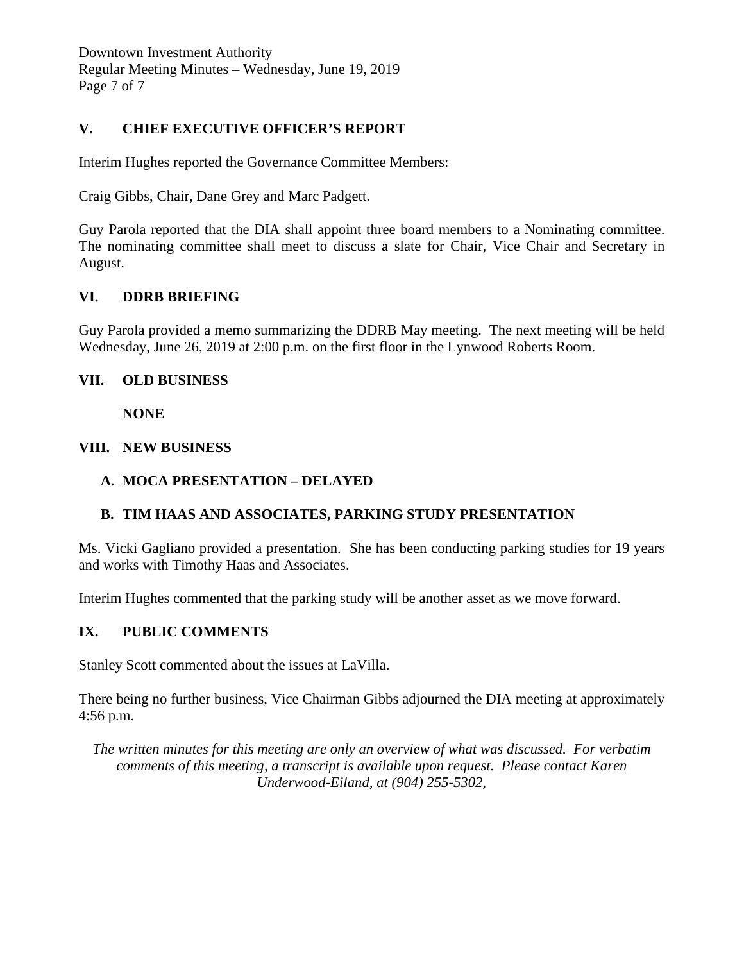### **V. CHIEF EXECUTIVE OFFICER'S REPORT**

Interim Hughes reported the Governance Committee Members:

Craig Gibbs, Chair, Dane Grey and Marc Padgett.

Guy Parola reported that the DIA shall appoint three board members to a Nominating committee. The nominating committee shall meet to discuss a slate for Chair, Vice Chair and Secretary in August.

### **VI. DDRB BRIEFING**

Guy Parola provided a memo summarizing the DDRB May meeting. The next meeting will be held Wednesday, June 26, 2019 at 2:00 p.m. on the first floor in the Lynwood Roberts Room.

### **VII. OLD BUSINESS**

**NONE**

### **VIII. NEW BUSINESS**

### **A. MOCA PRESENTATION – DELAYED**

### **B. TIM HAAS AND ASSOCIATES, PARKING STUDY PRESENTATION**

Ms. Vicki Gagliano provided a presentation. She has been conducting parking studies for 19 years and works with Timothy Haas and Associates.

Interim Hughes commented that the parking study will be another asset as we move forward.

### **IX. PUBLIC COMMENTS**

Stanley Scott commented about the issues at LaVilla.

There being no further business, Vice Chairman Gibbs adjourned the DIA meeting at approximately 4:56 p.m.

*The written minutes for this meeting are only an overview of what was discussed. For verbatim comments of this meeting, a transcript is available upon request. Please contact Karen Underwood-Eiland, at (904) 255-5302,*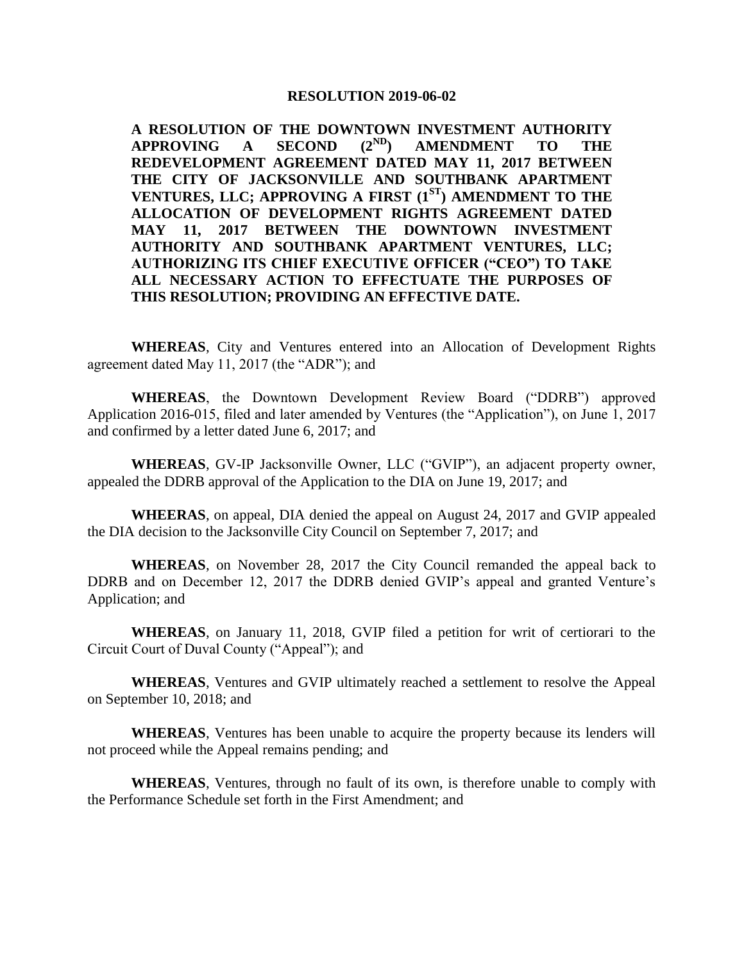#### **RESOLUTION 2019-06-02**

**A RESOLUTION OF THE DOWNTOWN INVESTMENT AUTHORITY APPROVING A SECOND (2ND) AMENDMENT TO THE REDEVELOPMENT AGREEMENT DATED MAY 11, 2017 BETWEEN THE CITY OF JACKSONVILLE AND SOUTHBANK APARTMENT VENTURES, LLC; APPROVING A FIRST (1ST) AMENDMENT TO THE ALLOCATION OF DEVELOPMENT RIGHTS AGREEMENT DATED MAY 11, 2017 BETWEEN THE DOWNTOWN INVESTMENT AUTHORITY AND SOUTHBANK APARTMENT VENTURES, LLC; AUTHORIZING ITS CHIEF EXECUTIVE OFFICER ("CEO") TO TAKE ALL NECESSARY ACTION TO EFFECTUATE THE PURPOSES OF THIS RESOLUTION; PROVIDING AN EFFECTIVE DATE.**

**WHEREAS**, City and Ventures entered into an Allocation of Development Rights agreement dated May 11, 2017 (the "ADR"); and

**WHEREAS**, the Downtown Development Review Board ("DDRB") approved Application 2016-015, filed and later amended by Ventures (the "Application"), on June 1, 2017 and confirmed by a letter dated June 6, 2017; and

**WHEREAS**, GV-IP Jacksonville Owner, LLC ("GVIP"), an adjacent property owner, appealed the DDRB approval of the Application to the DIA on June 19, 2017; and

**WHEERAS**, on appeal, DIA denied the appeal on August 24, 2017 and GVIP appealed the DIA decision to the Jacksonville City Council on September 7, 2017; and

**WHEREAS**, on November 28, 2017 the City Council remanded the appeal back to DDRB and on December 12, 2017 the DDRB denied GVIP's appeal and granted Venture's Application; and

**WHEREAS**, on January 11, 2018, GVIP filed a petition for writ of certiorari to the Circuit Court of Duval County ("Appeal"); and

**WHEREAS**, Ventures and GVIP ultimately reached a settlement to resolve the Appeal on September 10, 2018; and

**WHEREAS**, Ventures has been unable to acquire the property because its lenders will not proceed while the Appeal remains pending; and

**WHEREAS**, Ventures, through no fault of its own, is therefore unable to comply with the Performance Schedule set forth in the First Amendment; and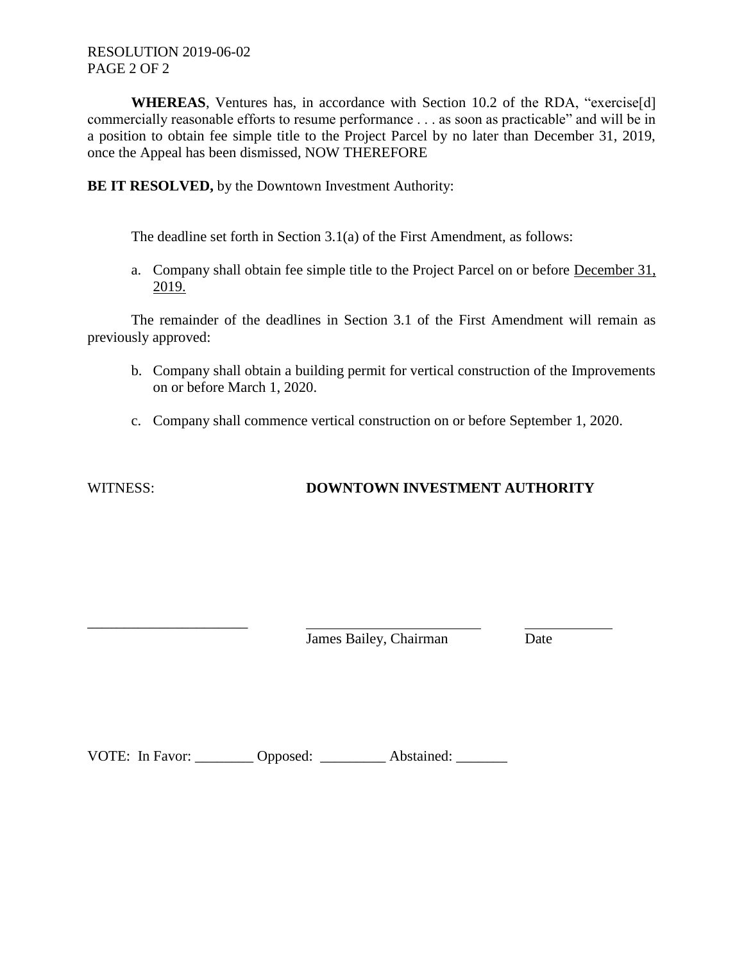**WHEREAS**, Ventures has, in accordance with Section 10.2 of the RDA, "exercise[d] commercially reasonable efforts to resume performance . . . as soon as practicable" and will be in a position to obtain fee simple title to the Project Parcel by no later than December 31, 2019, once the Appeal has been dismissed, NOW THEREFORE

**BE IT RESOLVED,** by the Downtown Investment Authority:

The deadline set forth in Section 3.1(a) of the First Amendment, as follows:

a. Company shall obtain fee simple title to the Project Parcel on or before December 31, 2019.

The remainder of the deadlines in Section 3.1 of the First Amendment will remain as previously approved:

- b. Company shall obtain a building permit for vertical construction of the Improvements on or before March 1, 2020.
- c. Company shall commence vertical construction on or before September 1, 2020.

\_\_\_\_\_\_\_\_\_\_\_\_\_\_\_\_\_\_\_\_\_\_

# WITNESS: **DOWNTOWN INVESTMENT AUTHORITY**

James Bailey, Chairman Date

VOTE: In Favor: Copposed: Abstained: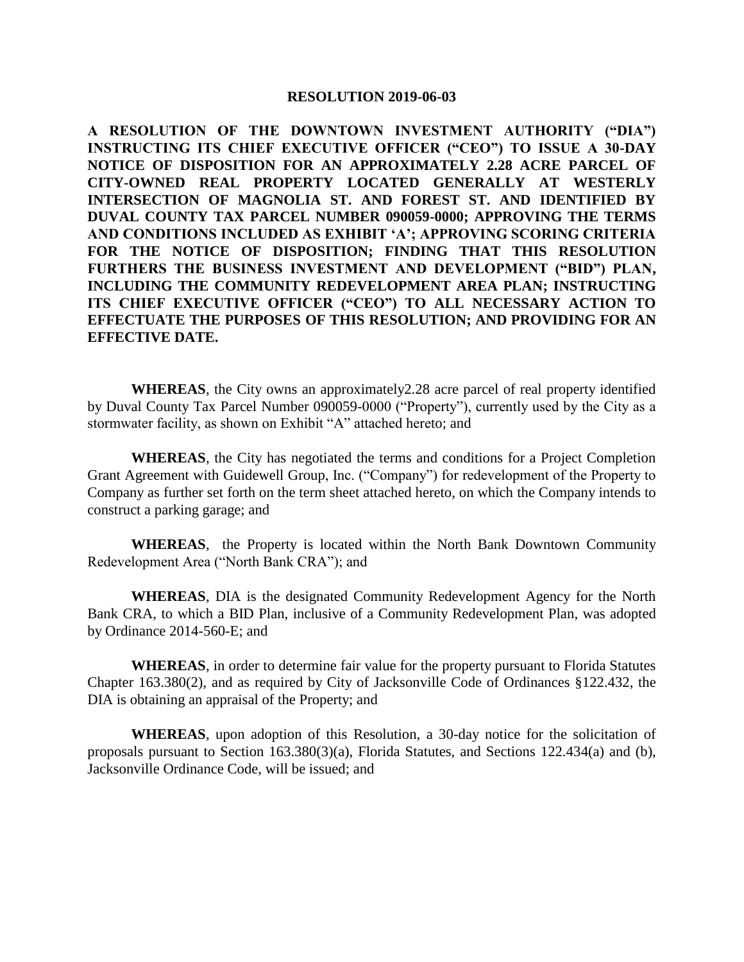#### **RESOLUTION 2019-06-03**

**A RESOLUTION OF THE DOWNTOWN INVESTMENT AUTHORITY ("DIA") INSTRUCTING ITS CHIEF EXECUTIVE OFFICER ("CEO") TO ISSUE A 30-DAY NOTICE OF DISPOSITION FOR AN APPROXIMATELY 2.28 ACRE PARCEL OF CITY-OWNED REAL PROPERTY LOCATED GENERALLY AT WESTERLY INTERSECTION OF MAGNOLIA ST. AND FOREST ST. AND IDENTIFIED BY DUVAL COUNTY TAX PARCEL NUMBER 090059-0000; APPROVING THE TERMS AND CONDITIONS INCLUDED AS EXHIBIT 'A'; APPROVING SCORING CRITERIA FOR THE NOTICE OF DISPOSITION; FINDING THAT THIS RESOLUTION FURTHERS THE BUSINESS INVESTMENT AND DEVELOPMENT ("BID") PLAN, INCLUDING THE COMMUNITY REDEVELOPMENT AREA PLAN; INSTRUCTING ITS CHIEF EXECUTIVE OFFICER ("CEO") TO ALL NECESSARY ACTION TO EFFECTUATE THE PURPOSES OF THIS RESOLUTION; AND PROVIDING FOR AN EFFECTIVE DATE.**

**WHEREAS**, the City owns an approximately2.28 acre parcel of real property identified by Duval County Tax Parcel Number 090059-0000 ("Property"), currently used by the City as a stormwater facility, as shown on Exhibit "A" attached hereto; and

**WHEREAS**, the City has negotiated the terms and conditions for a Project Completion Grant Agreement with Guidewell Group, Inc. ("Company") for redevelopment of the Property to Company as further set forth on the term sheet attached hereto, on which the Company intends to construct a parking garage; and

**WHEREAS**, the Property is located within the North Bank Downtown Community Redevelopment Area ("North Bank CRA"); and

**WHEREAS**, DIA is the designated Community Redevelopment Agency for the North Bank CRA, to which a BID Plan, inclusive of a Community Redevelopment Plan, was adopted by Ordinance 2014-560-E; and

**WHEREAS**, in order to determine fair value for the property pursuant to Florida Statutes Chapter 163.380(2), and as required by City of Jacksonville Code of Ordinances §122.432, the DIA is obtaining an appraisal of the Property; and

**WHEREAS**, upon adoption of this Resolution, a 30-day notice for the solicitation of proposals pursuant to Section 163.380(3)(a), Florida Statutes, and Sections 122.434(a) and (b), Jacksonville Ordinance Code, will be issued; and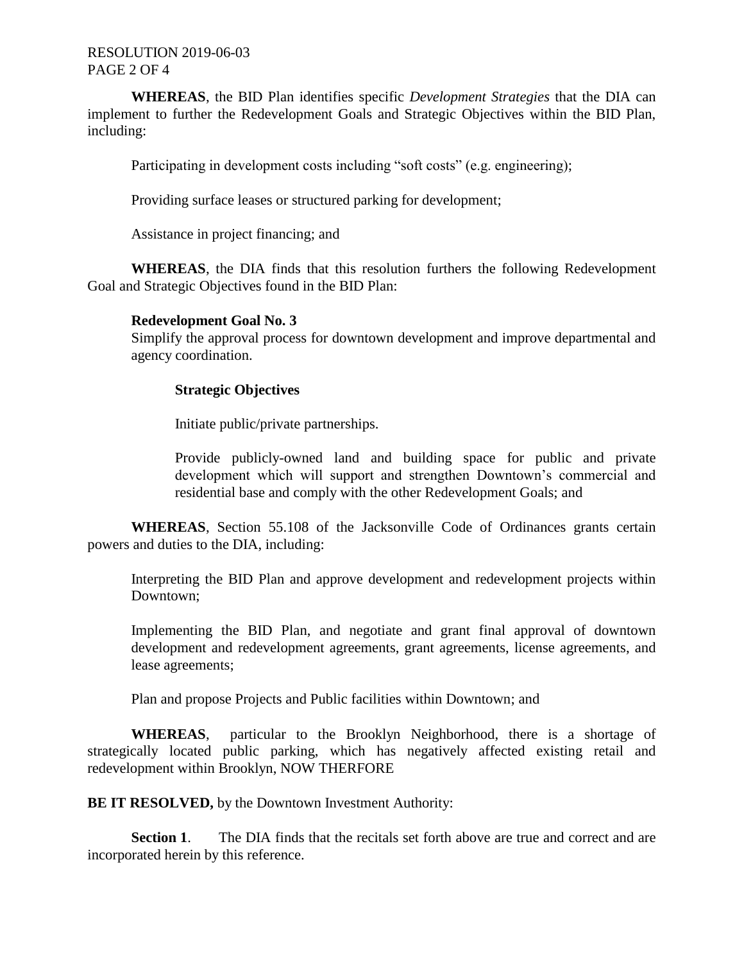### RESOLUTION 2019-06-03 PAGE 2 OF 4

**WHEREAS**, the BID Plan identifies specific *Development Strategies* that the DIA can implement to further the Redevelopment Goals and Strategic Objectives within the BID Plan, including:

Participating in development costs including "soft costs" (e.g. engineering);

Providing surface leases or structured parking for development;

Assistance in project financing; and

**WHEREAS**, the DIA finds that this resolution furthers the following Redevelopment Goal and Strategic Objectives found in the BID Plan:

#### **Redevelopment Goal No. 3**

Simplify the approval process for downtown development and improve departmental and agency coordination.

#### **Strategic Objectives**

Initiate public/private partnerships.

Provide publicly-owned land and building space for public and private development which will support and strengthen Downtown's commercial and residential base and comply with the other Redevelopment Goals; and

**WHEREAS**, Section 55.108 of the Jacksonville Code of Ordinances grants certain powers and duties to the DIA, including:

Interpreting the BID Plan and approve development and redevelopment projects within Downtown;

Implementing the BID Plan, and negotiate and grant final approval of downtown development and redevelopment agreements, grant agreements, license agreements, and lease agreements;

Plan and propose Projects and Public facilities within Downtown; and

**WHEREAS**, particular to the Brooklyn Neighborhood, there is a shortage of strategically located public parking, which has negatively affected existing retail and redevelopment within Brooklyn, NOW THERFORE

**BE IT RESOLVED, by the Downtown Investment Authority:** 

**Section 1.** The DIA finds that the recitals set forth above are true and correct and are incorporated herein by this reference.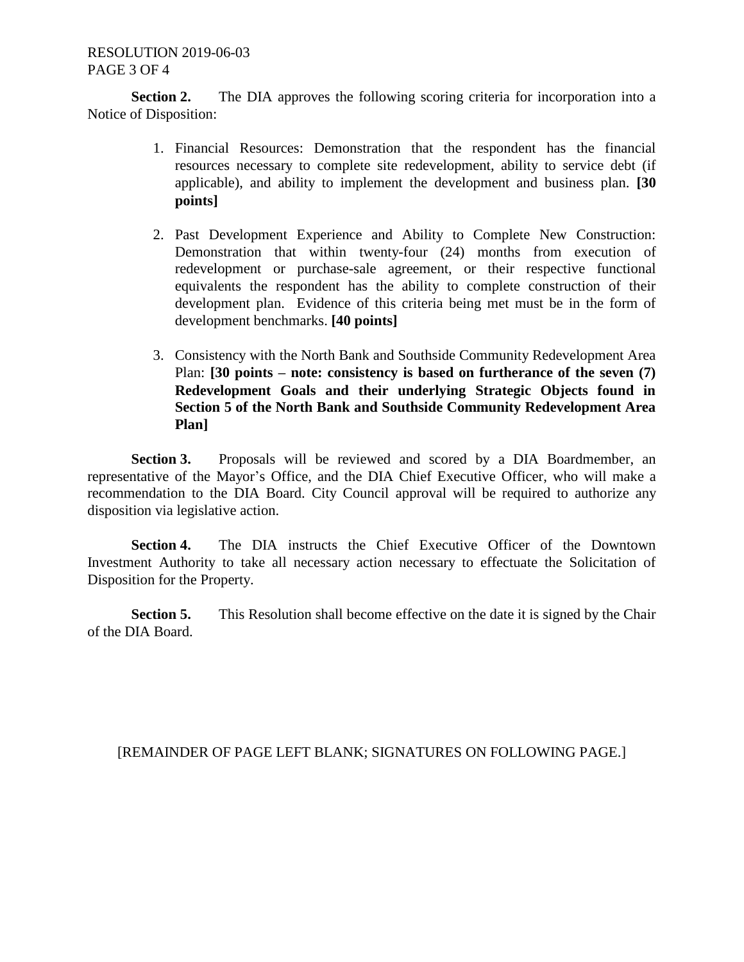**Section 2.** The DIA approves the following scoring criteria for incorporation into a Notice of Disposition:

- 1. Financial Resources: Demonstration that the respondent has the financial resources necessary to complete site redevelopment, ability to service debt (if applicable), and ability to implement the development and business plan. **[30 points]**
- 2. Past Development Experience and Ability to Complete New Construction: Demonstration that within twenty-four (24) months from execution of redevelopment or purchase-sale agreement, or their respective functional equivalents the respondent has the ability to complete construction of their development plan. Evidence of this criteria being met must be in the form of development benchmarks. **[40 points]**
- 3. Consistency with the North Bank and Southside Community Redevelopment Area Plan: **[30 points – note: consistency is based on furtherance of the seven (7) Redevelopment Goals and their underlying Strategic Objects found in Section 5 of the North Bank and Southside Community Redevelopment Area Plan]**

**Section 3.** Proposals will be reviewed and scored by a DIA Boardmember, an representative of the Mayor's Office, and the DIA Chief Executive Officer, who will make a recommendation to the DIA Board. City Council approval will be required to authorize any disposition via legislative action.

**Section 4.** The DIA instructs the Chief Executive Officer of the Downtown Investment Authority to take all necessary action necessary to effectuate the Solicitation of Disposition for the Property.

**Section 5.** This Resolution shall become effective on the date it is signed by the Chair of the DIA Board.

### [REMAINDER OF PAGE LEFT BLANK; SIGNATURES ON FOLLOWING PAGE.]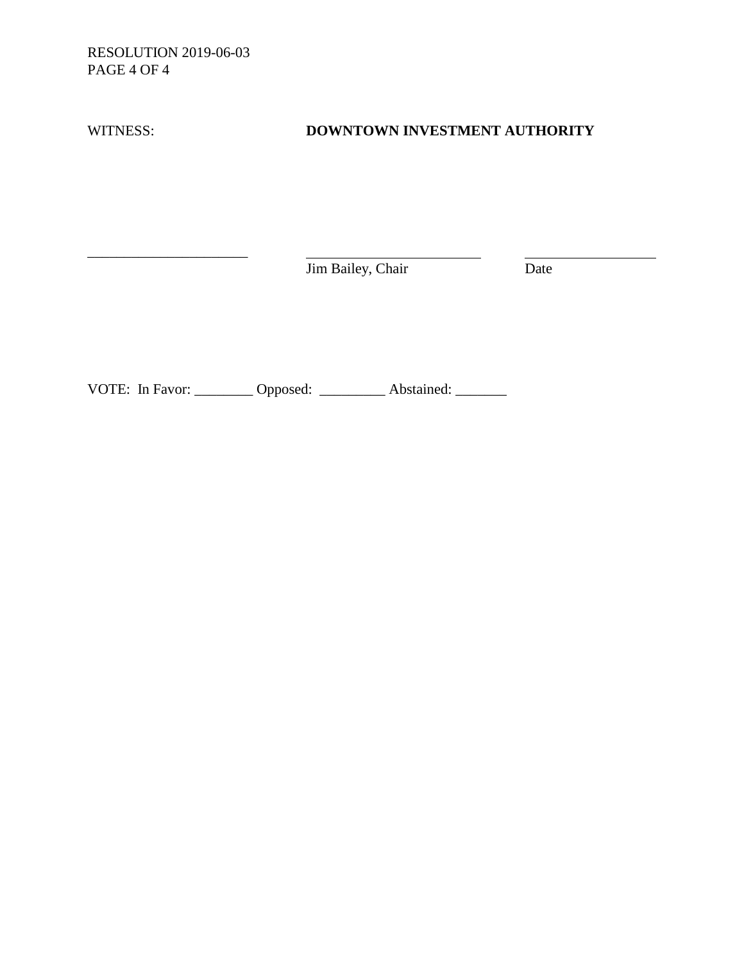RESOLUTION 2019-06-03 PAGE 4 OF 4

\_\_\_\_\_\_\_\_\_\_\_\_\_\_\_\_\_\_\_\_\_\_

WITNESS: **DOWNTOWN INVESTMENT AUTHORITY**

**Jim Bailey, Chair** Date

VOTE: In Favor: \_\_\_\_\_\_\_\_\_ Opposed: \_\_\_\_\_\_\_\_\_\_ Abstained: \_\_\_\_\_\_\_